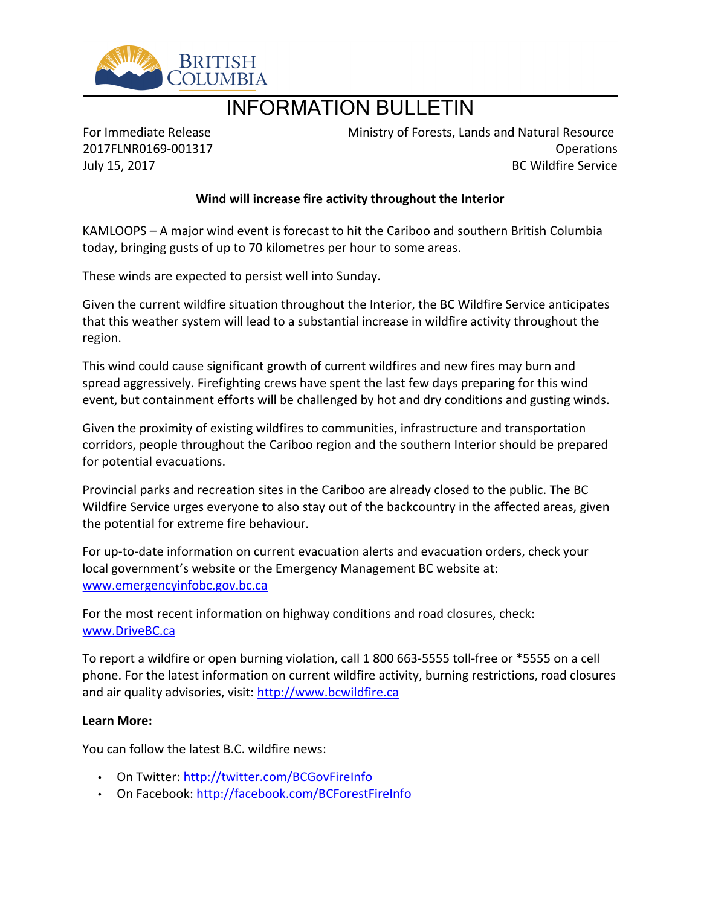

## INFORMATION BULLETIN

For Immediate Release 2017FLNR0169-001317 July 15, 2017

Ministry of Forests, Lands and Natural Resource Operations BC Wildfire Service

## **Wind will increase fire activity throughout the Interior**

KAMLOOPS – A major wind event is forecast to hit the Cariboo and southern British Columbia today, bringing gusts of up to 70 kilometres per hour to some areas.

These winds are expected to persist well into Sunday.

Given the current wildfire situation throughout the Interior, the BC Wildfire Service anticipates that this weather system will lead to a substantial increase in wildfire activity throughout the region.

This wind could cause significant growth of current wildfires and new fires may burn and spread aggressively. Firefighting crews have spent the last few days preparing for this wind event, but containment efforts will be challenged by hot and dry conditions and gusting winds.

Given the proximity of existing wildfires to communities, infrastructure and transportation corridors, people throughout the Cariboo region and the southern Interior should be prepared for potential evacuations.

Provincial parks and recreation sites in the Cariboo are already closed to the public. The BC Wildfire Service urges everyone to also stay out of the backcountry in the affected areas, given the potential for extreme fire behaviour.

For up-to-date information on current evacuation alerts and evacuation orders, check your local government's website or the Emergency Management BC website at: [www.emergencyinfobc.gov.bc.ca](http://www.emergencyinfobc.gov.bc.ca/)

For the most recent information on highway conditions and road closures, check: [www.DriveBC.ca](http://www.drivebc.ca/)

To report a wildfire or open burning violation, call 1 800 663-5555 toll-free or \*5555 on a cell phone. For the latest information on current wildfire activity, burning restrictions, road closures and air quality advisories, visit: [http://www.bcwildfire.ca](http://www.bcwildfire.ca/)

## **Learn More:**

You can follow the latest B.C. wildfire news:

- On Twitter:<http://twitter.com/BCGovFireInfo>
- On Facebook: <http://facebook.com/BCForestFireInfo>